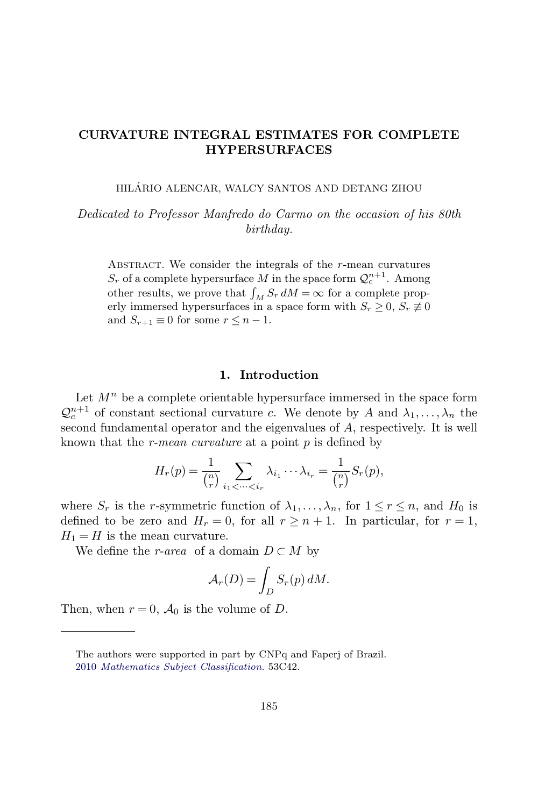# **CURVATURE INTEGRAL ESTIMATES FOR COMPLETE HYPERSURFACES**

HILARIO ALENCAR, WALCY SANTOS AND DETANG ZHOU ´

Dedicated to Professor Manfredo do Carmo on the occasion of his 80th birthday.

ABSTRACT. We consider the integrals of the  $r$ -mean curvatures  $S_r$  of a complete hypersurface M in the space form  $\mathcal{Q}_c^{n+1}$ . Among other results, we prove that  $\int_M S_r dM = \infty$  for a complete properly immersed hypersurfaces in a space form with  $S_r \geq 0$ ,  $S_r \neq 0$ and  $S_{r+1} \equiv 0$  for some  $r \leq n-1$ .

### **1. Introduction**

Let  $M<sup>n</sup>$  be a complete orientable hypersurface immersed in the space form  $\mathcal{Q}_c^{n+1}$  of constant sectional curvature c. We denote by A and  $\lambda_1, \ldots, \lambda_n$  the second fundamental operator and the eigenvalues of A, respectively. It is well known that the  $r$ -mean curvature at a point  $p$  is defined by

$$
H_r(p) = \frac{1}{\binom{n}{r}} \sum_{i_1 < \dots < i_r} \lambda_{i_1} \dotsm \lambda_{i_r} = \frac{1}{\binom{n}{r}} S_r(p),
$$

where  $S_r$  is the r-symmetric function of  $\lambda_1,\ldots,\lambda_n$ , for  $1 \leq r \leq n$ , and  $H_0$  is defined to be zero and  $H_r = 0$ , for all  $r \geq n + 1$ . In particular, for  $r = 1$ ,  $H_1 = H$  is the mean curvature.

We define the r-area of a domain  $D \subset M$  by

$$
\mathcal{A}_r(D) = \int_D S_r(p) dM.
$$

Then, when  $r = 0$ ,  $\mathcal{A}_0$  is the volume of D.

The authors were supported in part by CNPq and Faperj of Brazil. 2010 [Mathematics Subject Classification.](http://www.ams.org/msc/) 53C42.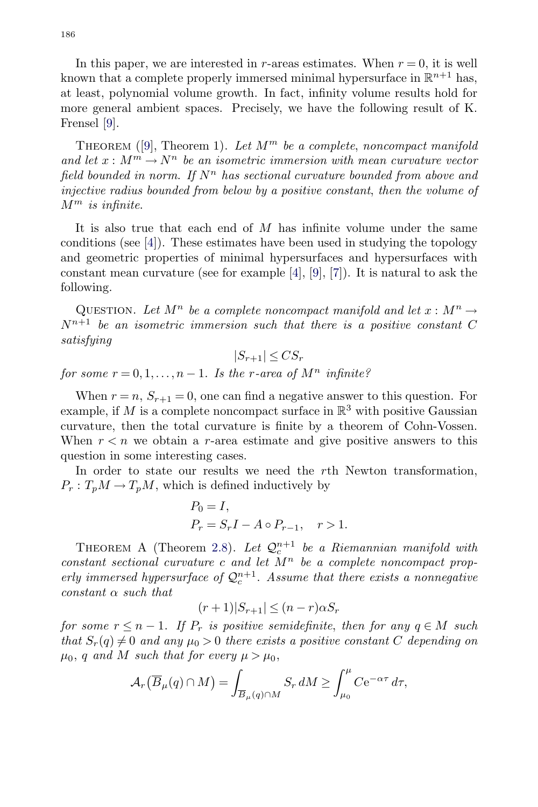THEOREM ([\[9\]](#page-17-0), Theorem 1). Let  $M^m$  be a complete, noncompact manifold and let  $x : M^m \to N^n$  be an isometric immersion with mean curvature vector field bounded in norm. If  $N^n$  has sectional curvature bounded from above and injective radius bounded from below by a positive constant, then the volume of  $M^m$  is infinite.

It is also true that each end of M has infinite volume under the same conditions (see  $[4]$ ). These estimates have been used in studying the topology and geometric properties of minimal hypersurfaces and hypersurfaces with constant mean curvature (see for example  $[4]$ ,  $[9]$ ,  $[7]$ ). It is natural to ask the following.

QUESTION. Let  $M^n$  be a complete noncompact manifold and let  $x : M^n \to$  $N^{n+1}$  be an isometric immersion such that there is a positive constant C satisfying

$$
|S_{r+1}| \leq CS_r
$$
  
20.2 cm s r = 0, 1, and the r = area of M<sup>n</sup> in far

for some  $r = 0, 1, \ldots, n - 1$ . Is the r-area of  $M^n$  infinite?

When  $r = n$ ,  $S_{r+1} = 0$ , one can find a negative answer to this question. For example, if M is a complete noncompact surface in  $\mathbb{R}^3$  with positive Gaussian curvature, then the total curvature is finite by a theorem of Cohn-Vossen. When  $r < n$  we obtain a r-area estimate and give positive answers to this question in some interesting cases.

In order to state our results we need the rth Newton transformation,  $P_r: T_pM \to T_pM$ , which is defined inductively by

$$
P_0 = I,
$$
  
\n
$$
P_r = S_r I - A \circ P_{r-1}, \quad r > 1.
$$

THEOREM A (Theorem [2.8\)](#page-8-0). Let  $\mathcal{Q}_c^{n+1}$  be a Riemannian manifold with constant sectional curvature c and let  $M^n$  be a complete noncompact properly immersed hypersurface of  $\mathcal{Q}_c^{n+1}$ . Assume that there exists a nonnegative  $constant \alpha$  such that

$$
(r+1)|S_{r+1}| \le (n-r)\alpha S_r
$$

for some  $r \leq n-1$ . If  $P_r$  is positive semidefinite, then for any  $q \in M$  such that  $S_r(q) \neq 0$  and any  $\mu_0 > 0$  there exists a positive constant C depending on  $\mu_0$ , q and M such that for every  $\mu > \mu_0$ ,

$$
\mathcal{A}_r(\overline{B}_{\mu}(q) \cap M) = \int_{\overline{B}_{\mu}(q) \cap M} S_r dM \ge \int_{\mu_0}^{\mu} C e^{-\alpha \tau} d\tau,
$$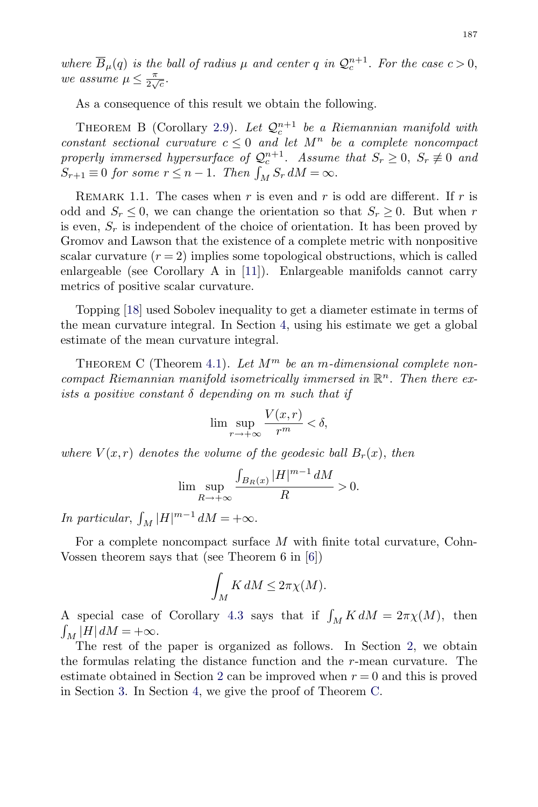where  $\overline{B}_{\mu}(q)$  is the ball of radius  $\mu$  and center q in  $\mathcal{Q}_c^{n+1}$ . For the case  $c > 0$ , we assume  $\mu \leq \frac{\pi}{2\sqrt{c}}$ .

As a consequence of this result we obtain the following.

THEOREM B (Corollary [2.9\)](#page-9-0). Let  $\mathcal{Q}_c^{n+1}$  be a Riemannian manifold with constant sectional curvature  $c \leq 0$  and let  $M^n$  be a complete noncompact properly immersed hypersurface of  $\mathcal{Q}_c^{n+1}$ . Assume that  $S_r \geq 0$ ,  $S_r \not\equiv 0$  and  $S_{r+1} \equiv 0$  for some  $r \leq n-1$ . Then  $\int_M S_r dM = \infty$ .

REMARK 1.1. The cases when r is even and r is odd are different. If r is odd and  $S_r \leq 0$ , we can change the orientation so that  $S_r \geq 0$ . But when r is even,  $S_r$  is independent of the choice of orientation. It has been proved by Gromov and Lawson that the existence of a complete metric with nonpositive scalar curvature  $(r = 2)$  implies some topological obstructions, which is called enlargeable (see Corollary A in [\[11\]](#page-17-0)). Enlargeable manifolds cannot carry metrics of positive scalar curvature.

Topping [\[18\]](#page-18-0) used Sobolev inequality to get a diameter estimate in terms of the mean curvature integral. In Section [4,](#page-15-0) using his estimate we get a global estimate of the mean curvature integral.

THEOREM C (Theorem [4.1\)](#page-15-0). Let  $M^m$  be an m-dimensional complete noncompact Riemannian manifold isometrically immersed in  $\mathbb{R}^n$ . Then there exists a positive constant  $\delta$  depending on m such that if

$$
\lim \sup_{r \to +\infty} \frac{V(x,r)}{r^m} < \delta,
$$

where  $V(x,r)$  denotes the volume of the geodesic ball  $B_r(x)$ , then

$$
\lim \sup_{R \to +\infty} \frac{\int_{B_R(x)} |H|^{m-1} dM}{R} > 0.
$$

In particular,  $\int_M |H|^{m-1} dM = +\infty$ .

For a complete noncompact surface M with finite total curvature, Cohn-Vossen theorem says that (see Theorem 6 in [\[6\]](#page-17-0))

$$
\int_M K dM \le 2\pi \chi(M).
$$

A special case of Corollary [4.3](#page-16-0) says that if  $\int_M K dM = 2\pi \chi(M)$ , then  $\int_M |H| dM = +\infty.$ 

The rest of the paper is organized as follows. In Section [2,](#page-3-0) we obtain the formulas relating the distance function and the r-mean curvature. The estimate obtained in Section [2](#page-3-0) can be improved when  $r = 0$  and this is proved in Section [3.](#page-12-0) In Section [4,](#page-15-0) we give the proof of Theorem C.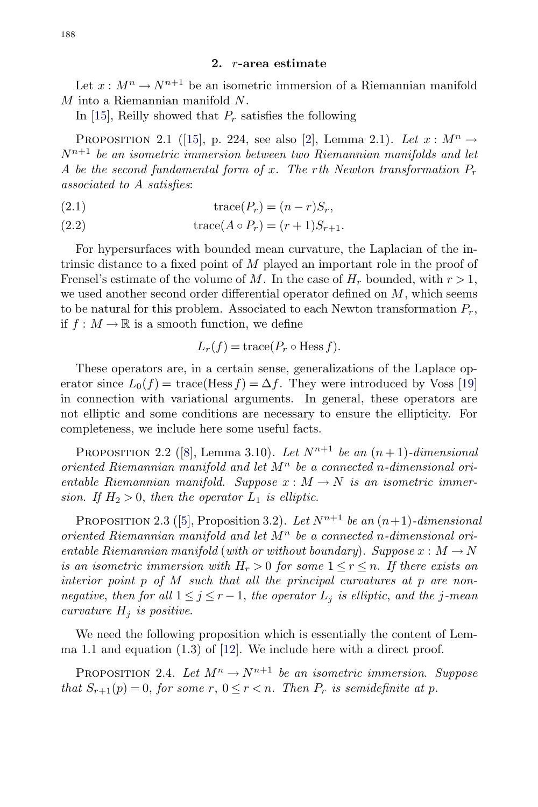### **2.** r**-area estimate**

<span id="page-3-0"></span>Let  $x : M^n \to N^{n+1}$  be an isometric immersion of a Riemannian manifold  $M$  into a Riemannian manifold  $N$ .

In [\[15\]](#page-18-0), Reilly showed that  $P_r$  satisfies the following

PROPOSITION 2.1 ([\[15\]](#page-18-0), p. 224, see also [\[2\]](#page-17-0), Lemma 2.1). Let  $x : M^n \rightarrow$  $N^{n+1}$  be an isometric immersion between two Riemannian manifolds and let A be the second fundamental form of x. The rth Newton transformation  $P_r$ associated to A satisfies:

$$
(2.1) \ttrace(P_r) = (n - r)S_r,
$$

$$
(2.2) \qquad \qquad \text{trace}(A \circ P_r) = (r+1)S_{r+1}.
$$

For hypersurfaces with bounded mean curvature, the Laplacian of the intrinsic distance to a fixed point of M played an important role in the proof of Frensel's estimate of the volume of M. In the case of  $H_r$  bounded, with  $r > 1$ , we used another second order differential operator defined on  $M$ , which seems to be natural for this problem. Associated to each Newton transformation  $P_r$ , if  $f : M \to \mathbb{R}$  is a smooth function, we define

$$
L_r(f) = \operatorname{trace}(P_r \circ \operatorname{Hess} f).
$$

These operators are, in a certain sense, generalizations of the Laplace operator since  $L_0(f) = \text{trace}(\text{Hess } f) = \Delta f$ . They were introduced by Voss [\[19\]](#page-18-0) in connection with variational arguments. In general, these operators are not elliptic and some conditions are necessary to ensure the ellipticity. For completeness, we include here some useful facts.

PROPOSITION 2.2 ([\[8\]](#page-17-0), Lemma 3.10). Let  $N^{n+1}$  be an  $(n+1)$ -dimensional oriented Riemannian manifold and let  $M<sup>n</sup>$  be a connected n-dimensional orientable Riemannian manifold. Suppose  $x : M \to N$  is an isometric immersion. If  $H_2 > 0$ , then the operator  $L_1$  is elliptic.

PROPOSITION 2.3 ([\[5\]](#page-17-0), Proposition 3.2). Let  $N^{n+1}$  be an  $(n+1)$ -dimensional oriented Riemannian manifold and let  $M^n$  be a connected n-dimensional orientable Riemannian manifold (with or without boundary). Suppose  $x : M \to N$ is an isometric immersion with  $H_r > 0$  for some  $1 \le r \le n$ . If there exists an interior point  $p$  of  $M$  such that all the principal curvatures at  $p$  are nonnegative, then for all  $1 \leq j \leq r-1$ , the operator  $L_j$  is elliptic, and the j-mean curvature  $H_i$  is positive.

We need the following proposition which is essentially the content of Lemma 1.1 and equation  $(1.3)$  of  $|12|$ . We include here with a direct proof.

PROPOSITION 2.4. Let  $M^n \to N^{n+1}$  be an isometric immersion. Suppose that  $S_{r+1}(p) = 0$ , for some r,  $0 \le r < n$ . Then  $P_r$  is semidefinite at p.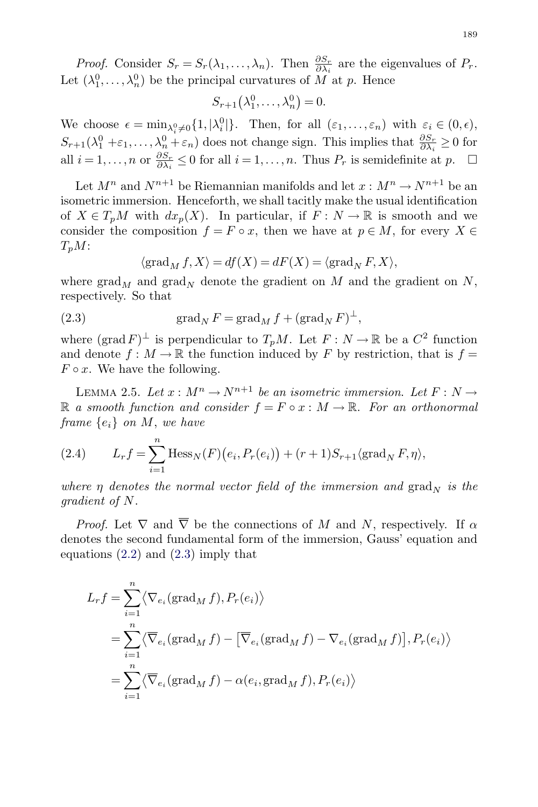<span id="page-4-0"></span>*Proof.* Consider  $S_r = S_r(\lambda_1, ..., \lambda_n)$ . Then  $\frac{\partial S_r}{\partial \lambda_i}$  are the eigenvalues of  $P_r$ . Let  $(\lambda_1^0, \ldots, \lambda_n^0)$  be the principal curvatures of M at p. Hence

$$
S_{r+1}(\lambda_1^0,\ldots,\lambda_n^0)=0.
$$

We choose  $\epsilon = \min_{\lambda_i^0 \neq 0} \{1, |\lambda_i^0| \}.$  Then, for all  $(\varepsilon_1, \ldots, \varepsilon_n)$  with  $\varepsilon_i \in (0, \epsilon),$  $S_{r+1}(\lambda_1^0 + \varepsilon_1, \ldots, \lambda_n^0 + \varepsilon_n)$  does not change sign. This implies that  $\frac{\partial S_r}{\partial \lambda_i} \geq 0$  for all  $i = 1, ..., n$  or  $\frac{\partial S_r}{\partial \lambda_i} \leq 0$  for all  $i = 1, ..., n$ . Thus  $P_r$  is semidefinite at  $p$ .  $\Box$ 

Let  $M^n$  and  $N^{n+1}$  be Riemannian manifolds and let  $x : M^n \to N^{n+1}$  be an isometric immersion. Henceforth, we shall tacitly make the usual identification of  $X \in T_nM$  with  $dx_n(X)$ . In particular, if  $F: N \to \mathbb{R}$  is smooth and we consider the composition  $f = F \circ x$ , then we have at  $p \in M$ , for every  $X \in$  $T_pM$ :

$$
\langle \operatorname{grad}_M f, X \rangle = df(X) = dF(X) = \langle \operatorname{grad}_N F, X \rangle,
$$

where  $\text{grad}_M$  and  $\text{grad}_N$  denote the gradient on M and the gradient on N, respectively. So that

(2.3) 
$$
\operatorname{grad}_N F = \operatorname{grad}_M f + (\operatorname{grad}_N F)^{\perp},
$$

where  $(\text{grad } F)^{\perp}$  is perpendicular to  $T_pM$ . Let  $F : N \to \mathbb{R}$  be a  $C^2$  function and denote  $f : M \to \mathbb{R}$  the function induced by F by restriction, that is  $f =$  $F \circ x$ . We have the following.

LEMMA 2.5. Let  $x : M^n \to N^{n+1}$  be an isometric immersion. Let  $F : N \to$ R a smooth function and consider  $f = F ∘ x : M → R$ . For an orthonormal frame  $\{e_i\}$  on M, we have

(2.4) 
$$
L_r f = \sum_{i=1}^n \text{Hess}_N(F)(e_i, P_r(e_i)) + (r+1)S_{r+1}\langle \text{grad}_N F, \eta \rangle,
$$

where  $\eta$  denotes the normal vector field of the immersion and grad<sub>N</sub> is the gradient of N.

*Proof.* Let  $\nabla$  and  $\overline{\nabla}$  be the connections of M and N, respectively. If  $\alpha$ denotes the second fundamental form of the immersion, Gauss' equation and equations [\(2.2\)](#page-3-0) and (2.3) imply that

$$
L_r f = \sum_{i=1}^n \langle \nabla_{e_i} (\text{grad}_M f), P_r(e_i) \rangle
$$
  
= 
$$
\sum_{i=1}^n \langle \overline{\nabla}_{e_i} (\text{grad}_M f) - [\overline{\nabla}_{e_i} (\text{grad}_M f) - \nabla_{e_i} (\text{grad}_M f)], P_r(e_i) \rangle
$$
  
= 
$$
\sum_{i=1}^n \langle \overline{\nabla}_{e_i} (\text{grad}_M f) - \alpha(e_i, \text{grad}_M f), P_r(e_i) \rangle
$$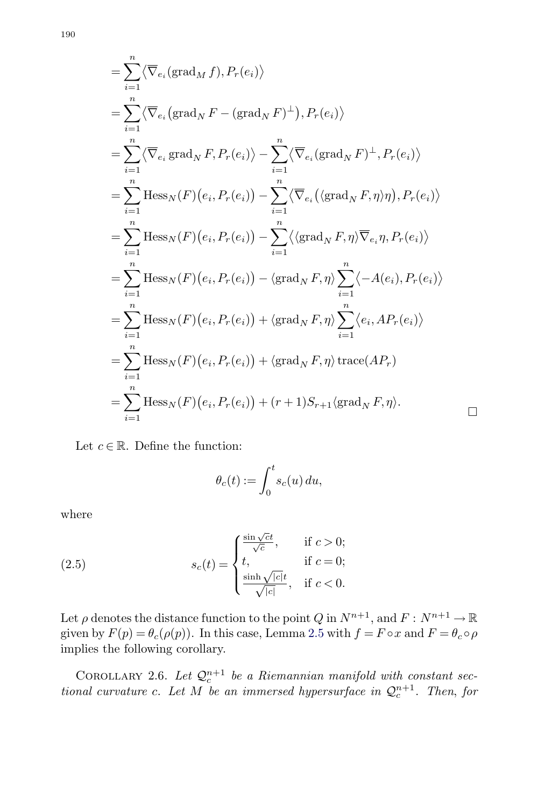$$
= \sum_{i=1}^{n} \langle \overline{\nabla}_{e_i} (\text{grad}_M f), P_r(e_i) \rangle
$$
  
\n
$$
= \sum_{i=1}^{n} \langle \overline{\nabla}_{e_i} (\text{grad}_N F - (\text{grad}_N F)^{\perp}), P_r(e_i) \rangle
$$
  
\n
$$
= \sum_{i=1}^{n} \langle \overline{\nabla}_{e_i} \text{grad}_N F, P_r(e_i) \rangle - \sum_{i=1}^{n} \langle \overline{\nabla}_{e_i} (\text{grad}_N F)^{\perp}, P_r(e_i) \rangle
$$
  
\n
$$
= \sum_{i=1}^{n} \text{Hess}_N(F) (e_i, P_r(e_i)) - \sum_{i=1}^{n} \langle \overline{\nabla}_{e_i} (\langle \text{grad}_N F, \eta \rangle \eta), P_r(e_i) \rangle
$$
  
\n
$$
= \sum_{i=1}^{n} \text{Hess}_N(F) (e_i, P_r(e_i)) - \sum_{i=1}^{n} \langle \langle \text{grad}_N F, \eta \rangle \overline{\nabla}_{e_i} \eta, P_r(e_i) \rangle
$$
  
\n
$$
= \sum_{i=1}^{n} \text{Hess}_N(F) (e_i, P_r(e_i)) - \langle \text{grad}_N F, \eta \rangle \sum_{i=1}^{n} \langle -A(e_i), P_r(e_i) \rangle
$$
  
\n
$$
= \sum_{i=1}^{n} \text{Hess}_N(F) (e_i, P_r(e_i)) + \langle \text{grad}_N F, \eta \rangle \sum_{i=1}^{n} \langle e_i, AP_r(e_i) \rangle
$$
  
\n
$$
= \sum_{i=1}^{n} \text{Hess}_N(F) (e_i, P_r(e_i)) + \langle \text{grad}_N F, \eta \rangle \text{trace}(AP_r)
$$
  
\n
$$
= \sum_{i=1}^{n} \text{Hess}_N(F) (e_i, P_r(e_i)) + (r + 1) S_{r+1} \langle \text{grad}_N F, \eta \rangle.
$$

Let  $c \in \mathbb{R}$ . Define the function:

$$
\theta_c(t) := \int_0^t s_c(u) \, du,
$$

 $\Box$ 

where

(2.5) 
$$
s_c(t) = \begin{cases} \frac{\sin\sqrt{c}t}{\sqrt{c}}, & \text{if } c > 0; \\ t, & \text{if } c = 0; \\ \frac{\sinh\sqrt{|c|}t}{\sqrt{|c|}}, & \text{if } c < 0. \end{cases}
$$

Let  $\rho$  denotes the distance function to the point  $Q$  in  $N^{n+1}$ , and  $F: N^{n+1} \to \mathbb{R}$ given by  $F(p) = \theta_c(\rho(p))$ . In this case, Lemma [2.5](#page-4-0) with  $f = F \circ x$  and  $F = \theta_c \circ \rho$ implies the following corollary.

COROLLARY 2.6. Let  $\mathcal{Q}_c^{n+1}$  be a Riemannian manifold with constant sectional curvature c. Let M be an immersed hypersurface in  $\mathcal{Q}_c^{n+1}$ . Then, for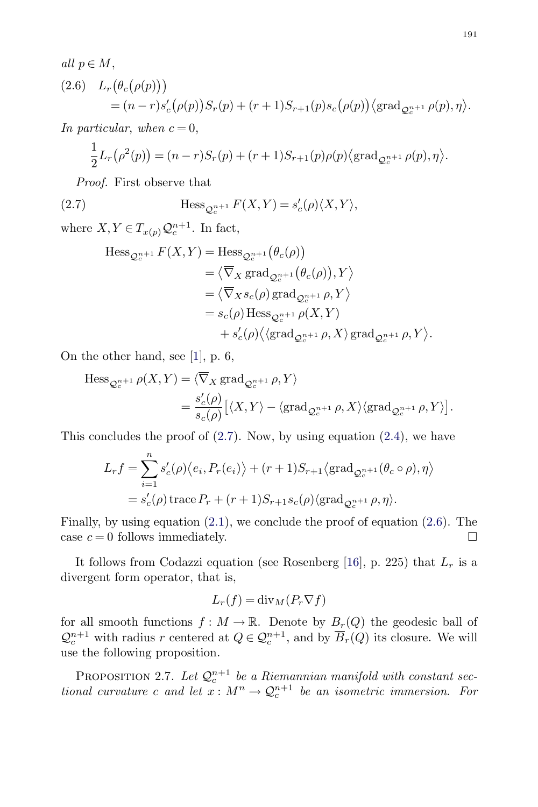<span id="page-6-0"></span>all 
$$
p \in M
$$
,  
\n
$$
(2.6) \quad L_r(\theta_c(\rho(p)))
$$
\n
$$
= (n-r)s'_c(\rho(p))S_r(p) + (r+1)S_{r+1}(p)s_c(\rho(p))\langle \text{grad}_{\mathcal{Q}_c^{n+1}} \rho(p), \eta \rangle.
$$
\nIn particular, when  $c = 0$ .

In particular, when  $c = 0$ ,

$$
\frac{1}{2}L_r(\rho^2(p)) = (n-r)S_r(p) + (r+1)S_{r+1}(p)\rho(p)\langle \operatorname{grad}_{\mathcal{Q}_c^{n+1}} \rho(p), \eta \rangle.
$$

Proof. First observe that

(2.7) 
$$
\operatorname{Hess}_{\mathcal{Q}_c^{n+1}} F(X,Y) = s'_c(\rho) \langle X,Y \rangle,
$$

where  $X, Y \in T_{x(p)} \mathcal{Q}_c^{n+1}$ . In fact,

$$
\begin{aligned} \operatorname{Hess}_{\mathcal{Q}_c^{n+1}} F(X,Y) &= \operatorname{Hess}_{\mathcal{Q}_c^{n+1}} \left( \theta_c(\rho) \right) \\ &= \langle \overline{\nabla}_X \operatorname{grad}_{\mathcal{Q}_c^{n+1}} \left( \theta_c(\rho) \right), Y \rangle \\ &= \langle \overline{\nabla}_X s_c(\rho) \operatorname{grad}_{\mathcal{Q}_c^{n+1}} \rho, Y \rangle \\ &= s_c(\rho) \operatorname{Hess}_{\mathcal{Q}_c^{n+1}} \rho(X,Y) \\ &\quad + s'_c(\rho) \langle \langle \operatorname{grad}_{\mathcal{Q}_c^{n+1}} \rho, X \rangle \operatorname{grad}_{\mathcal{Q}_c^{n+1}} \rho, Y \rangle. \end{aligned}
$$

On the other hand, see [\[1\]](#page-17-0), p. 6,

$$
\operatorname{Hess}_{\mathcal{Q}_c^{n+1}} \rho(X, Y) = \langle \overline{\nabla}_X \operatorname{grad}_{\mathcal{Q}_c^{n+1}} \rho, Y \rangle
$$
  
= 
$$
\frac{s'_c(\rho)}{s_c(\rho)} \big[ \langle X, Y \rangle - \langle \operatorname{grad}_{\mathcal{Q}_c^{n+1}} \rho, X \rangle \langle \operatorname{grad}_{\mathcal{Q}_c^{n+1}} \rho, Y \rangle \big].
$$

This concludes the proof of (2.7). Now, by using equation [\(2.4\)](#page-4-0), we have

$$
L_r f = \sum_{i=1}^n s'_c(\rho) \langle e_i, P_r(e_i) \rangle + (r+1)S_{r+1} \langle \text{grad}_{\mathcal{Q}_c^{n+1}}(\theta_c \circ \rho), \eta \rangle
$$
  
=  $s'_c(\rho) \operatorname{trace} P_r + (r+1)S_{r+1} s_c(\rho) \langle \text{grad}_{\mathcal{Q}_c^{n+1}} \rho, \eta \rangle$ .

Finally, by using equation [\(2.1\)](#page-3-0), we conclude the proof of equation (2.6). The case  $c = 0$  follows immediately.

It follows from Codazzi equation (see Rosenberg [\[16\]](#page-18-0), p. 225) that  $L_r$  is a divergent form operator, that is,

$$
L_r(f) = \text{div}_M(P_r \nabla f)
$$

for all smooth functions  $f : M \to \mathbb{R}$ . Denote by  $B_r(Q)$  the geodesic ball of  $\mathcal{Q}_c^{n+1}$  with radius r centered at  $Q \in \mathcal{Q}_c^{n+1}$ , and by  $\overline{B}_r(Q)$  its closure. We will use the following proposition.

PROPOSITION 2.7. Let  $\mathcal{Q}_c^{n+1}$  be a Riemannian manifold with constant sectional curvature c and let  $x : M^n \to \mathcal{Q}_c^{n+1}$  be an isometric immersion. For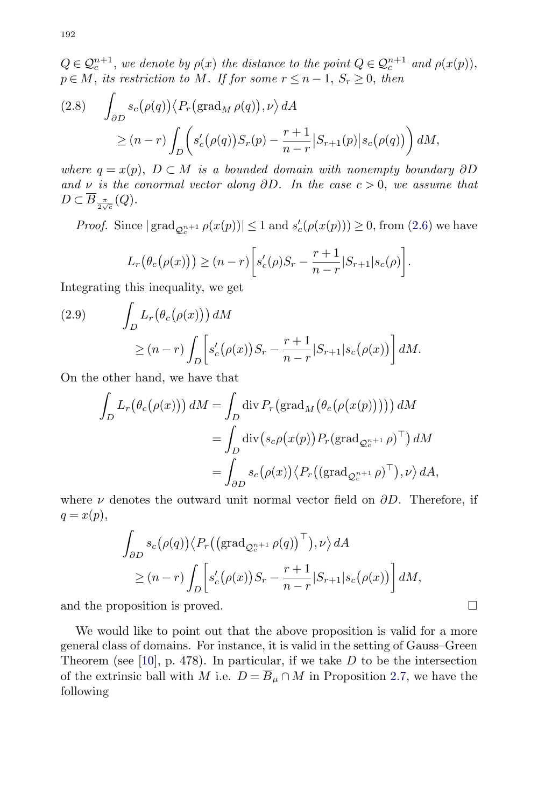<span id="page-7-0"></span> $Q \in \mathcal{Q}_c^{n+1}$ , we denote by  $\rho(x)$  the distance to the point  $Q \in \mathcal{Q}_c^{n+1}$  and  $\rho(x(p)),$  $p \in M$ , its restriction to M. If for some  $r \leq n-1$ ,  $S_r \geq 0$ , then

$$
(2.8) \qquad \int_{\partial D} s_c(\rho(q)) \langle P_r(\text{grad}_M \rho(q)), \nu \rangle dA
$$
  
 
$$
\geq (n-r) \int_D \left( s_c'(\rho(q)) S_r(p) - \frac{r+1}{n-r} |S_{r+1}(p)| s_c(\rho(q)) \right) dM,
$$

where  $q = x(p)$ ,  $D \subset M$  is a bounded domain with nonempty boundary ∂D and  $\nu$  is the conormal vector along  $\partial D$ . In the case  $c > 0$ , we assume that  $D \subset B_{\frac{\pi}{2\sqrt{c}}}(Q)$ .

*Proof.* Since  $|\text{grad}_{\mathcal{Q}_c^{n+1}} \rho(x(p))| \leq 1$  and  $s'_c(\rho(x(p))) \geq 0$ , from [\(2.6\)](#page-6-0) we have

$$
L_r(\theta_c(\rho(x))) \ge (n-r) \bigg[ s_c'(\rho) S_r - \frac{r+1}{n-r} |S_{r+1}| s_c(\rho) \bigg].
$$

Integrating this inequality, we get

(2.9) 
$$
\int_D L_r(\theta_c(\rho(x))) dM
$$

$$
\geq (n-r) \int_D \left[ s_c'(\rho(x)) S_r - \frac{r+1}{n-r} |S_{r+1}| s_c(\rho(x)) \right] dM.
$$

On the other hand, we have that

$$
\int_{D} L_r(\theta_c(\rho(x))) dM = \int_{D} \text{div} \, P_r(\text{grad}_M(\theta_c(\rho(x(p)))))) dM
$$

$$
= \int_{D} \text{div} \big(s_c \rho(x(p)) P_r(\text{grad}_{\mathcal{Q}_c^{n+1}} \rho)^\top \big) dM
$$

$$
= \int_{\partial D} s_c(\rho(x)) \big\langle P_r((\text{grad}_{\mathcal{Q}_c^{n+1}} \rho)^\top), \nu \big\rangle dA,
$$

where  $\nu$  denotes the outward unit normal vector field on  $\partial D$ . Therefore, if  $q = x(p),$ 

$$
\int_{\partial D} s_c(\rho(q)) \langle P_r((\text{grad}_{\mathcal{Q}_c^{n+1}} \rho(q))^{\top}), \nu \rangle dA
$$
  
 
$$
\geq (n-r) \int_D \left[ s_c'(\rho(x)) S_r - \frac{r+1}{n-r} |S_{r+1}| s_c(\rho(x)) \right] dM,
$$

and the proposition is proved.

We would like to point out that the above proposition is valid for a more general class of domains. For instance, it is valid in the setting of Gauss–Green Theorem (see [\[10\]](#page-17-0), p. 478). In particular, if we take  $D$  to be the intersection of the extrinsic ball with M i.e.  $D = \overline{B}_{\mu} \cap M$  in Proposition [2.7,](#page-6-0) we have the following

 $\Box$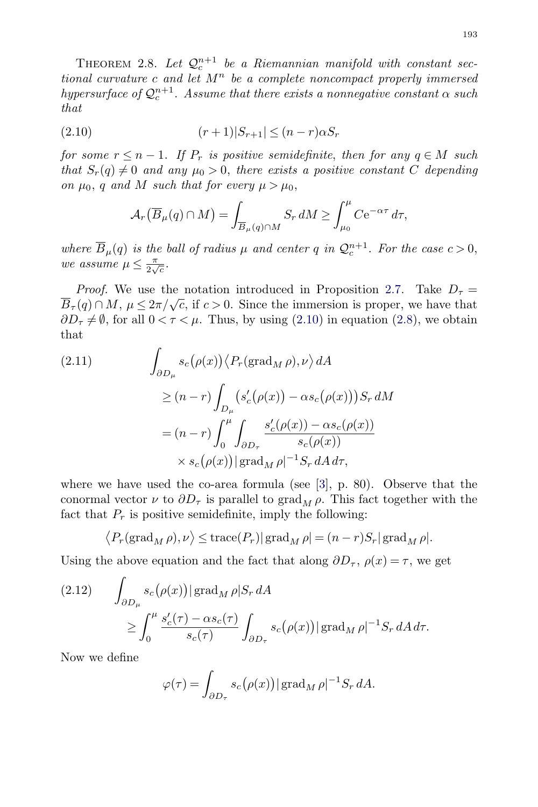<span id="page-8-0"></span>THEOREM 2.8. Let  $\mathcal{Q}_c^{n+1}$  be a Riemannian manifold with constant sectional curvature c and let  $M^n$  be a complete noncompact properly immersed hypersurface of  $\mathcal{Q}_c^{n+1}$ . Assume that there exists a nonnegative constant  $\alpha$  such that

(2.10) 
$$
(r+1)|S_{r+1}| \le (n-r)\alpha S_r
$$

for some  $r \leq n-1$ . If  $P_r$  is positive semidefinite, then for any  $q \in M$  such that  $S_r(q) \neq 0$  and any  $\mu_0 > 0$ , there exists a positive constant C depending on  $\mu_0$ , q and M such that for every  $\mu > \mu_0$ ,

$$
\mathcal{A}_r(\overline{B}_{\mu}(q) \cap M) = \int_{\overline{B}_{\mu}(q) \cap M} S_r dM \ge \int_{\mu_0}^{\mu} C e^{-\alpha \tau} d\tau,
$$

where  $\overline{B}_{\mu}(q)$  is the ball of radius  $\mu$  and center q in  $\mathcal{Q}_c^{n+1}$ . For the case  $c > 0$ , we assume  $\mu \leq \frac{\pi}{2\sqrt{c}}$ .

*Proof.* We use the notation introduced in Proposition [2.7.](#page-6-0) Take  $D<sub>\tau</sub> =$  $B_{\tau}(q) \cap M$ ,  $\mu \leq 2\pi/\sqrt{c}$ , if  $c > 0$ . Since the immersion is proper, we have that  $\partial D_{\tau} \neq \emptyset$ , for all  $0 < \tau < \mu$ . Thus, by using (2.10) in equation [\(2.8\)](#page-7-0), we obtain that

(2.11) 
$$
\int_{\partial D_{\mu}} s_c(\rho(x)) \langle P_r(\text{grad}_M \rho), \nu \rangle dA
$$

$$
\geq (n-r) \int_{D_{\mu}} \left( s_c'(\rho(x)) - \alpha s_c(\rho(x)) \right) S_r dM
$$

$$
= (n-r) \int_0^{\mu} \int_{\partial D_{\tau}} \frac{s_c'(\rho(x)) - \alpha s_c(\rho(x))}{s_c(\rho(x))}
$$

$$
\times s_c(\rho(x)) |\text{grad}_M \rho|^{-1} S_r dA d\tau,
$$

where we have used the co-area formula (see  $[3]$ , p. 80). Observe that the conormal vector  $\nu$  to  $\partial D_{\tau}$  is parallel to grad<sub>M</sub>  $\rho$ . This fact together with the fact that  $P_r$  is positive semidefinite, imply the following:

$$
\langle P_r(\text{grad}_M \rho), \nu \rangle \leq \text{trace}(P_r)| \text{grad}_M \rho| = (n-r)S_r |\text{grad}_M \rho|.
$$

Using the above equation and the fact that along  $\partial D_{\tau}$ ,  $\rho(x) = \tau$ , we get

$$
(2.12) \qquad \int_{\partial D_{\mu}} s_c(\rho(x)) |\operatorname{grad}_M \rho| S_r dA
$$

$$
\geq \int_0^{\mu} \frac{s'_c(\tau) - \alpha s_c(\tau)}{s_c(\tau)} \int_{\partial D_{\tau}} s_c(\rho(x)) |\operatorname{grad}_M \rho|^{-1} S_r dA d\tau.
$$

Now we define

$$
\varphi(\tau) = \int_{\partial D_{\tau}} s_c(\rho(x)) |\operatorname{grad}_M \rho|^{-1} S_r dA.
$$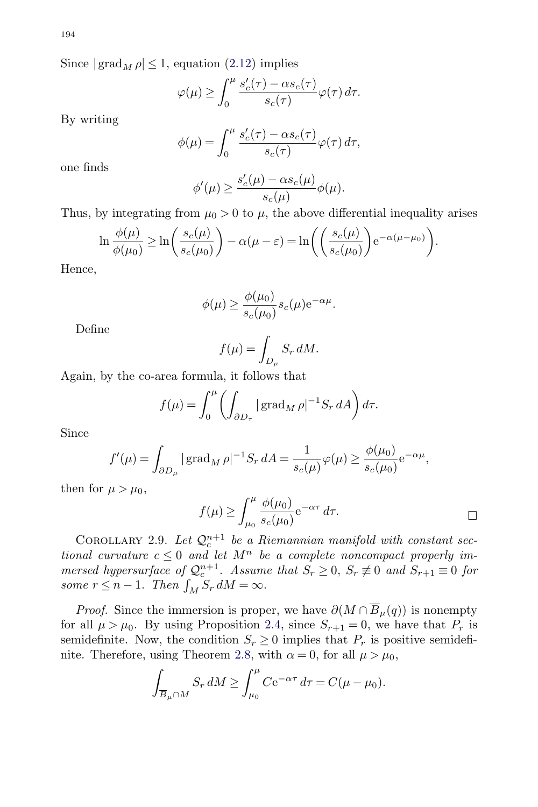Since  $|\text{grad}_M \rho| \leq 1$ , equation [\(2.12\)](#page-8-0) implies

$$
\varphi(\mu) \ge \int_0^{\mu} \frac{s_c'(\tau) - \alpha s_c(\tau)}{s_c(\tau)} \varphi(\tau) d\tau.
$$

By writing

$$
\phi(\mu) = \int_0^{\mu} \frac{s_c'(\tau) - \alpha s_c(\tau)}{s_c(\tau)} \varphi(\tau) d\tau,
$$

one finds

$$
\phi'(\mu) \ge \frac{s_c'(\mu) - \alpha s_c(\mu)}{s_c(\mu)} \phi(\mu).
$$

Thus, by integrating from  $\mu_0 > 0$  to  $\mu$ , the above differential inequality arises

$$
\ln \frac{\phi(\mu)}{\phi(\mu_0)} \ge \ln \bigg( \frac{s_c(\mu)}{s_c(\mu_0)} \bigg) - \alpha(\mu - \varepsilon) = \ln \bigg( \bigg( \frac{s_c(\mu)}{s_c(\mu_0)} \bigg) e^{-\alpha(\mu - \mu_0)} \bigg).
$$

Hence,

$$
\phi(\mu) \ge \frac{\phi(\mu_0)}{s_c(\mu_0)} s_c(\mu) e^{-\alpha \mu}.
$$

Define

$$
f(\mu) = \int_{D_{\mu}} S_r \, dM.
$$

Again, by the co-area formula, it follows that

$$
f(\mu) = \int_0^{\mu} \left( \int_{\partial D_{\tau}} |\operatorname{grad}_M \rho|^{-1} S_r \, dA \right) d\tau.
$$

Since

$$
f'(\mu) = \int_{\partial D_{\mu}} |\operatorname{grad}_{M} \rho|^{-1} S_{r} dA = \frac{1}{s_{c}(\mu)} \varphi(\mu) \ge \frac{\phi(\mu_{0})}{s_{c}(\mu_{0})} e^{-\alpha \mu},
$$

then for  $\mu > \mu_0$ ,

$$
f(\mu) \ge \int_{\mu_0}^{\mu} \frac{\phi(\mu_0)}{s_c(\mu_0)} e^{-\alpha \tau} d\tau.
$$

COROLLARY 2.9. Let  $\mathcal{Q}_c^{n+1}$  be a Riemannian manifold with constant sectional curvature  $c \leq 0$  and let  $M^n$  be a complete noncompact properly immersed hypersurface of  $\mathcal{Q}_c^{n+1}$ . Assume that  $S_r \geq 0$ ,  $S_r \not\equiv 0$  and  $S_{r+1} \equiv 0$  for some  $r \leq n-1$ . Then  $\int_M S_r dM = \infty$ .

*Proof.* Since the immersion is proper, we have  $\partial(M \cap \overline{B}_{\mu}(q))$  is nonempty for all  $\mu > \mu_0$ . By using Proposition [2.4,](#page-3-0) since  $S_{r+1} = 0$ , we have that  $P_r$  is semidefinite. Now, the condition  $S_r \geq 0$  implies that  $P_r$  is positive semidefi-nite. Therefore, using Theorem [2.8,](#page-8-0) with  $\alpha = 0$ , for all  $\mu > \mu_0$ ,

$$
\int_{\overline{B}_{\mu}\cap M} S_r dM \ge \int_{\mu_0}^{\mu} C e^{-\alpha \tau} d\tau = C(\mu - \mu_0).
$$

<span id="page-9-0"></span>194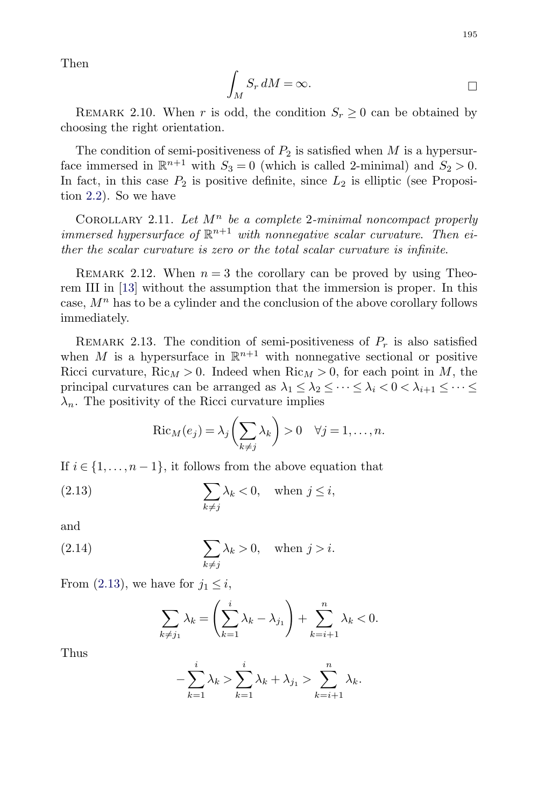<span id="page-10-0"></span>Then

$$
\int_M S_r \, dM = \infty. \qquad \qquad \Box
$$

REMARK 2.10. When r is odd, the condition  $S_r \geq 0$  can be obtained by choosing the right orientation.

The condition of semi-positiveness of  $P_2$  is satisfied when M is a hypersurface immersed in  $\mathbb{R}^{n+1}$  with  $S_3 = 0$  (which is called 2-minimal) and  $S_2 > 0$ . In fact, in this case  $P_2$  is positive definite, since  $L_2$  is elliptic (see Proposition [2.2\)](#page-3-0). So we have

COROLLARY 2.11. Let  $M^n$  be a complete 2-minimal noncompact properly immersed hypersurface of  $\mathbb{R}^{n+1}$  with nonnegative scalar curvature. Then either the scalar curvature is zero or the total scalar curvature is infinite.

REMARK 2.12. When  $n = 3$  the corollary can be proved by using Theorem III in [\[13\]](#page-17-0) without the assumption that the immersion is proper. In this case,  $M<sup>n</sup>$  has to be a cylinder and the conclusion of the above corollary follows immediately.

REMARK 2.13. The condition of semi-positiveness of  $P_r$  is also satisfied when M is a hypersurface in  $\mathbb{R}^{n+1}$  with nonnegative sectional or positive Ricci curvature,  $Ric_M > 0$ . Indeed when  $Ric_M > 0$ , for each point in M, the principal curvatures can be arranged as  $\lambda_1 \leq \lambda_2 \leq \cdots \leq \lambda_i < 0 < \lambda_{i+1} \leq \cdots \leq$  $\lambda_n$ . The positivity of the Ricci curvature implies

$$
\operatorname{Ric}_M(e_j) = \lambda_j \left(\sum_{k \neq j} \lambda_k\right) > 0 \quad \forall j = 1, \dots, n.
$$

If  $i \in \{1, \ldots, n-1\}$ , it follows from the above equation that

(2.13) 
$$
\sum_{k \neq j} \lambda_k < 0, \quad \text{when } j \leq i,
$$

and

(2.14) 
$$
\sum_{k \neq j} \lambda_k > 0, \text{ when } j > i.
$$

From (2.13), we have for  $j_1 \leq i$ ,

$$
\sum_{k \neq j_1} \lambda_k = \left(\sum_{k=1}^i \lambda_k - \lambda_{j_1}\right) + \sum_{k=i+1}^n \lambda_k < 0.
$$

Thus

$$
-\sum_{k=1}^i \lambda_k > \sum_{k=1}^i \lambda_k + \lambda_{j_1} > \sum_{k=i+1}^n \lambda_k.
$$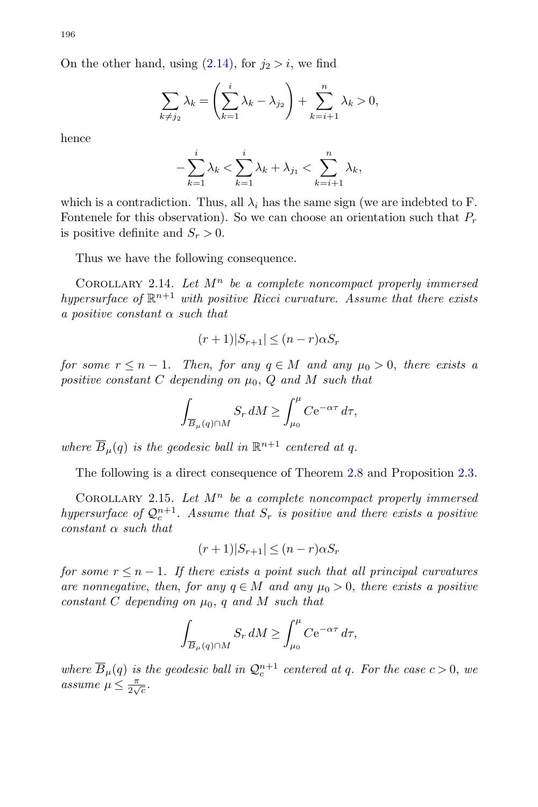On the other hand, using  $(2.14)$ , for  $j_2 > i$ , we find

$$
\sum_{k \neq j_2} \lambda_k = \left(\sum_{k=1}^i \lambda_k - \lambda_{j_2}\right) + \sum_{k=i+1}^n \lambda_k > 0,
$$

hence

$$
-\sum_{k=1}^i \lambda_k < \sum_{k=1}^i \lambda_k + \lambda_{j_1} < \sum_{k=i+1}^n \lambda_k,
$$

which is a contradiction. Thus, all  $\lambda_i$  has the same sign (we are indebted to F. Fontenele for this observation). So we can choose an orientation such that  $P_r$ is positive definite and  $S_r > 0$ .

Thus we have the following consequence.

COROLLARY 2.14. Let  $M^n$  be a complete noncompact properly immersed hypersurface of  $\mathbb{R}^{n+1}$  with positive Ricci curvature. Assume that there exists a positive constant  $\alpha$  such that

$$
(r+1)|S_{r+1}| \le (n-r)\alpha S_r
$$

for some  $r \leq n-1$ . Then, for any  $q \in M$  and any  $\mu_0 > 0$ , there exists a positive constant C depending on  $\mu_0$ , Q and M such that

$$
\int_{\overline{B}_{\mu}(q)\cap M} S_r dM \ge \int_{\mu_0}^{\mu} C e^{-\alpha \tau} d\tau,
$$

where  $\overline{B}_{\mu}(q)$  is the geodesic ball in  $\mathbb{R}^{n+1}$  centered at q.

The following is a direct consequence of Theorem [2.8](#page-8-0) and Proposition [2.3.](#page-3-0)

COROLLARY 2.15. Let  $M^n$  be a complete noncompact properly immersed hypersurface of  $\mathcal{Q}_c^{n+1}$ . Assume that  $S_r$  is positive and there exists a positive  $constant \alpha \ such \ that$ 

$$
(r+1)|S_{r+1}| \le (n-r)\alpha S_r
$$

for some  $r \leq n-1$ . If there exists a point such that all principal curvatures are nonnegative, then, for any  $q \in M$  and any  $\mu_0 > 0$ , there exists a positive constant C depending on  $\mu_0$ , q and M such that

$$
\int_{\overline{B}_{\mu}(q)\cap M} S_r dM \ge \int_{\mu_0}^{\mu} C e^{-\alpha \tau} d\tau,
$$

where  $\overline{B}_{\mu}(q)$  is the geodesic ball in  $\mathcal{Q}_c^{n+1}$  centered at q. For the case  $c > 0$ , we assume  $\mu \leq \frac{\pi}{2\sqrt{c}}$ .

196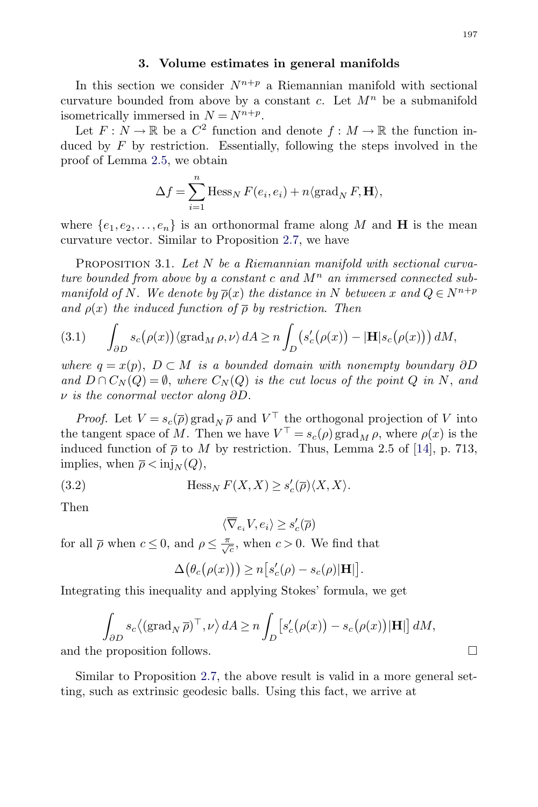#### **3. Volume estimates in general manifolds**

<span id="page-12-0"></span>In this section we consider  $N^{n+p}$  a Riemannian manifold with sectional curvature bounded from above by a constant c. Let  $M^n$  be a submanifold isometrically immersed in  $N = N^{n+p}$ .

Let  $F: N \to \mathbb{R}$  be a  $C^2$  function and denote  $f: M \to \mathbb{R}$  the function induced by  $F$  by restriction. Essentially, following the steps involved in the proof of Lemma [2.5,](#page-4-0) we obtain

$$
\Delta f = \sum_{i=1}^{n} \text{Hess}_{N} F(e_{i}, e_{i}) + n \langle \text{grad}_{N} F, \mathbf{H} \rangle,
$$

where  $\{e_1, e_2, \ldots, e_n\}$  is an orthonormal frame along M and **H** is the mean curvature vector. Similar to Proposition [2.7,](#page-6-0) we have

PROPOSITION 3.1. Let  $N$  be a Riemannian manifold with sectional curvature bounded from above by a constant c and  $M^n$  an immersed connected submanifold of N. We denote by  $\overline{\rho}(x)$  the distance in N between x and  $Q \in N^{n+p}$ and  $\rho(x)$  the induced function of  $\overline{\rho}$  by restriction. Then

(3.1) 
$$
\int_{\partial D} s_c(\rho(x)) \langle \text{grad}_M \rho, \nu \rangle dA \geq n \int_D \left( s_c'(\rho(x)) - |\mathbf{H}| s_c(\rho(x)) \right) dM,
$$

where  $q = x(p)$ ,  $D \subset M$  is a bounded domain with nonempty boundary ∂D and  $D \cap C_N(Q) = \emptyset$ , where  $C_N(Q)$  is the cut locus of the point Q in N, and  $\nu$  is the conormal vector along  $\partial D$ .

*Proof.* Let  $V = s_c(\overline{\rho}) \operatorname{grad}_N \overline{\rho}$  and  $V^{\top}$  the orthogonal projection of V into the tangent space of M. Then we have  $V^{\top} = s_c(\rho) \text{grad}_M \rho$ , where  $\rho(x)$  is the induced function of  $\bar{\rho}$  to M by restriction. Thus, Lemma 2.5 of [\[14\]](#page-17-0), p. 713, implies, when  $\bar{\rho} < \text{inj}_{N}(Q)$ ,

(3.2) 
$$
\text{Hess}_{N} F(X,X) \geq s'_{c}(\overline{\rho}) \langle X,X \rangle.
$$

Then

$$
\langle \overline \nabla_{e_i} V, e_i \rangle \geq s'_c(\overline \rho)
$$

for all  $\bar{\rho}$  when  $c \le 0$ , and  $\rho \le \frac{\pi}{\sqrt{c}}$ , when  $c > 0$ . We find that

$$
\Delta(\theta_c(\rho(x))) \ge n[s'_c(\rho) - s_c(\rho)|\mathbf{H}|\big].
$$

Integrating this inequality and applying Stokes' formula, we get

$$
\int_{\partial D} s_c \langle (\text{grad}_N \overline{\rho})^\top, \nu \rangle dA \ge n \int_D \left[ s_c'(\rho(x)) - s_c(\rho(x)) |\mathbf{H}| \right] dM,
$$
\nproposition follows.

and the proposition follows.

Similar to Proposition [2.7,](#page-6-0) the above result is valid in a more general setting, such as extrinsic geodesic balls. Using this fact, we arrive at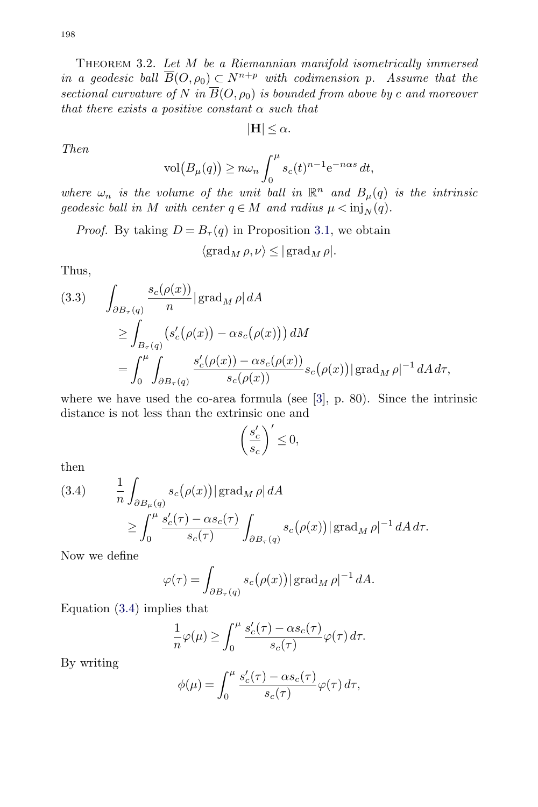<span id="page-13-0"></span>THEOREM 3.2. Let M be a Riemannian manifold isometrically immersed in a geodesic ball  $\overline{B}(O, \rho_0) \subset N^{n+p}$  with codimension p. Assume that the sectional curvature of N in  $\overline{B}(O,\rho_0)$  is bounded from above by c and moreover that there exists a positive constant  $\alpha$  such that

$$
|\mathbf{H}| \leq \alpha.
$$

Then

$$
\text{vol}(B_{\mu}(q)) \ge n\omega_n \int_0^{\mu} s_c(t)^{n-1} e^{-n\alpha s} dt,
$$

where  $\omega_n$  is the volume of the unit ball in  $\mathbb{R}^n$  and  $B_\mu(q)$  is the intrinsic geodesic ball in M with center  $q \in M$  and radius  $\mu < \text{inj}_N(q)$ .

*Proof.* By taking  $D = B_{\tau}(q)$  in Proposition [3.1,](#page-12-0) we obtain

$$
\langle \mathrm{grad}_{M}\,\rho,\nu\rangle\leq |\,\mathrm{grad}_{M}\,\rho|.
$$

Thus,

(3.3) 
$$
\int_{\partial B_{\tau}(q)} \frac{s_c(\rho(x))}{n} |\operatorname{grad}_M \rho| dA
$$
  
\n
$$
\geq \int_{B_{\tau}(q)} \left( s_c'(\rho(x)) - \alpha s_c(\rho(x)) \right) dM
$$
  
\n
$$
= \int_0^{\mu} \int_{\partial B_{\tau}(q)} \frac{s_c'(\rho(x)) - \alpha s_c(\rho(x))}{s_c(\rho(x))} s_c(\rho(x)) |\operatorname{grad}_M \rho|^{-1} dA d\tau,
$$

where we have used the co-area formula (see [\[3\]](#page-17-0), p. 80). Since the intrinsic distance is not less than the extrinsic one and

$$
\left(\frac{s_c'}{s_c}\right)' \le 0,
$$

then

(3.4) 
$$
\frac{1}{n} \int_{\partial B_{\mu}(q)} s_c(\rho(x)) |\operatorname{grad}_M \rho| dA
$$

$$
\geq \int_0^{\mu} \frac{s_c'(\tau) - \alpha s_c(\tau)}{s_c(\tau)} \int_{\partial B_{\tau}(q)} s_c(\rho(x)) |\operatorname{grad}_M \rho|^{-1} dA d\tau.
$$

Now we define

$$
\varphi(\tau) = \int_{\partial B_{\tau}(q)} s_c(\rho(x)) |\operatorname{grad}_M \rho|^{-1} dA.
$$

Equation (3.4) implies that

$$
\frac{1}{n}\varphi(\mu)\geq \int_0^\mu \frac{s'_c(\tau)-\alpha s_c(\tau)}{s_c(\tau)}\varphi(\tau)\,d\tau.
$$

By writing

$$
\phi(\mu) = \int_0^{\mu} \frac{s_c'(\tau) - \alpha s_c(\tau)}{s_c(\tau)} \varphi(\tau) d\tau,
$$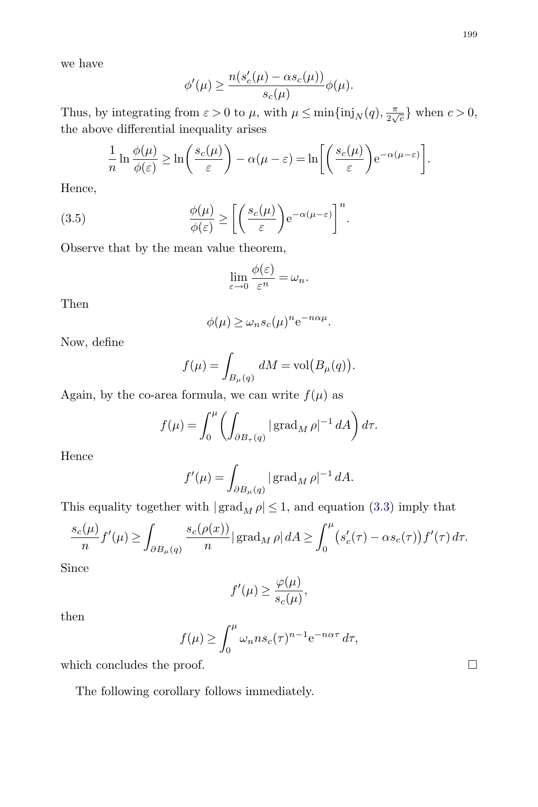we have

$$
\phi'(\mu) \ge \frac{n(s'_c(\mu) - \alpha s_c(\mu))}{s_c(\mu)} \phi(\mu).
$$

Thus, by integrating from  $\varepsilon > 0$  to  $\mu$ , with  $\mu \leq \min\{\text{inj}_N(q), \frac{\pi}{2\sqrt{c}}\}$  when  $c > 0$ , the above differential inequality arises

$$
\frac{1}{n}\ln\frac{\phi(\mu)}{\phi(\varepsilon)} \ge \ln\left(\frac{s_c(\mu)}{\varepsilon}\right) - \alpha(\mu-\varepsilon) = \ln\left[\left(\frac{s_c(\mu)}{\varepsilon}\right) e^{-\alpha(\mu-\varepsilon)}\right].
$$

Hence,

(3.5) 
$$
\frac{\phi(\mu)}{\phi(\varepsilon)} \ge \left[ \left( \frac{s_c(\mu)}{\varepsilon} \right) e^{-\alpha(\mu - \varepsilon)} \right]^n.
$$

Observe that by the mean value theorem,

$$
\lim_{\varepsilon \to 0} \frac{\phi(\varepsilon)}{\varepsilon^n} = \omega_n.
$$

Then

$$
\phi(\mu) \ge \omega_n s_c(\mu)^n e^{-n\alpha\mu}.
$$

Now, define

$$
f(\mu) = \int_{B_{\mu}(q)} dM = \text{vol}(B_{\mu}(q)).
$$

Again, by the co-area formula, we can write  $f(\mu)$  as

$$
f(\mu) = \int_0^{\mu} \left( \int_{\partial B_\tau(q)} |\operatorname{grad}_M \rho|^{-1} dA \right) d\tau.
$$

Hence

$$
f'(\mu) = \int_{\partial B_{\mu}(q)} |\operatorname{grad}_{M} \rho|^{-1} dA.
$$

This equality together with  $|\text{grad}_M \rho| \leq 1$ , and equation [\(3.3\)](#page-13-0) imply that

$$
\frac{s_c(\mu)}{n}f'(\mu) \ge \int_{\partial B_{\mu}(q)} \frac{s_c(\rho(x))}{n} |\operatorname{grad}_M \rho| dA \ge \int_0^{\mu} \left( s_c'(\tau) - \alpha s_c(\tau) \right) f'(\tau) d\tau.
$$

Since

$$
f'(\mu) \ge \frac{\varphi(\mu)}{s_c(\mu)},
$$

then

$$
f(\mu) \ge \int_0^{\mu} \omega_n n s_c(\tau)^{n-1} e^{-n\alpha \tau} d\tau,
$$

which concludes the proof.  $\hfill \square$ 

The following corollary follows immediately.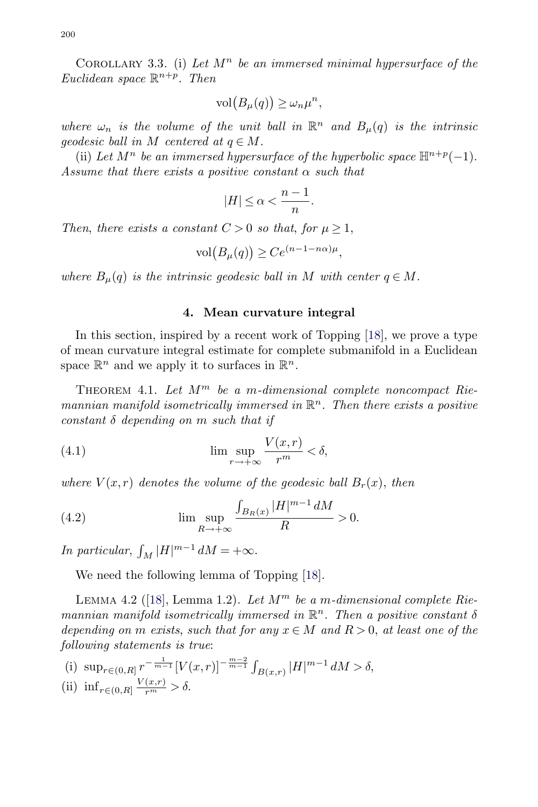<span id="page-15-0"></span>COROLLARY 3.3. (i) Let  $M^n$  be an immersed minimal hypersurface of the Euclidean space  $\mathbb{R}^{n+p}$ . Then

$$
\text{vol}(B_{\mu}(q)) \geq \omega_n \mu^n,
$$

where  $\omega_n$  is the volume of the unit ball in  $\mathbb{R}^n$  and  $B_\mu(q)$  is the intrinsic qeodesic ball in M centered at  $q \in M$ .

(ii) Let  $M^n$  be an immersed hypersurface of the hyperbolic space  $\mathbb{H}^{n+p}(-1)$ . Assume that there exists a positive constant  $\alpha$  such that

$$
|H|\leq \alpha <\frac{n-1}{n}.
$$

Then, there exists a constant  $C > 0$  so that, for  $\mu \geq 1$ ,

$$
\text{vol}\big(B_{\mu}(q)\big) \geq Ce^{(n-1-n\alpha)\mu},
$$

where  $B_{\mu}(q)$  is the intrinsic geodesic ball in M with center  $q \in M$ .

## **4. Mean curvature integral**

In this section, inspired by a recent work of Topping [\[18\]](#page-18-0), we prove a type of mean curvature integral estimate for complete submanifold in a Euclidean space  $\mathbb{R}^n$  and we apply it to surfaces in  $\mathbb{R}^n$ .

THEOREM 4.1. Let  $M^m$  be a m-dimensional complete noncompact Riemannian manifold isometrically immersed in  $\mathbb{R}^n$ . Then there exists a positive constant  $\delta$  depending on m such that if

(4.1) 
$$
\limsup_{r \to +\infty} \frac{V(x,r)}{r^m} < \delta,
$$

where  $V(x,r)$  denotes the volume of the geodesic ball  $B_r(x)$ , then

(4.2) 
$$
\limsup_{R \to +\infty} \frac{\int_{B_R(x)} |H|^{m-1} dM}{R} > 0.
$$

In particular,  $\int_M |H|^{m-1} dM = +\infty$ .

We need the following lemma of Topping [\[18\]](#page-18-0).

LEMMA 4.2 ([\[18\]](#page-18-0), Lemma 1.2). Let  $M^m$  be a m-dimensional complete Riemannian manifold isometrically immersed in  $\mathbb{R}^n$ . Then a positive constant  $\delta$ depending on m exists, such that for any  $x \in M$  and  $R > 0$ , at least one of the following statements is true:

(i) 
$$
\sup_{r \in (0,R]} r^{-\frac{1}{m-1}} [V(x,r)]^{-\frac{m-2}{m-1}} \int_{B(x,r)} |H|^{m-1} dM > \delta,
$$
  
\n(ii)  $\inf_{r \in (0,R]} \frac{V(x,r)}{r^m} > \delta.$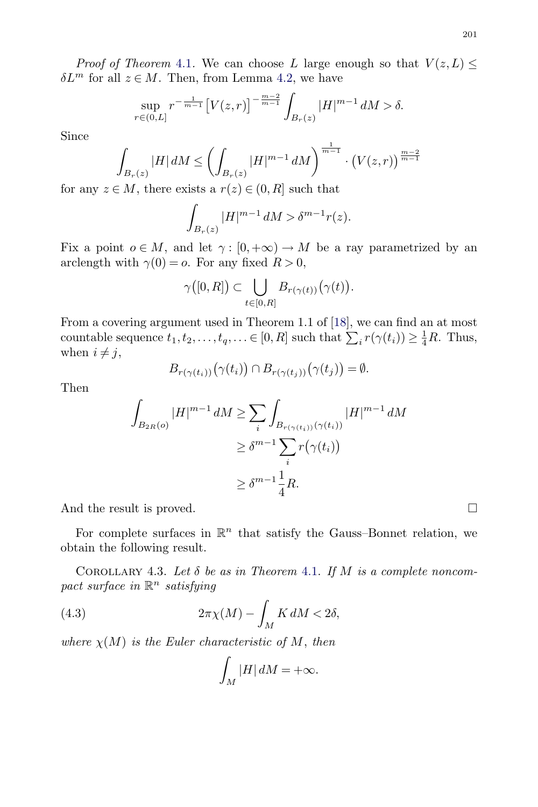201

<span id="page-16-0"></span>*Proof of Theorem* [4.1](#page-15-0). We can choose L large enough so that  $V(z,L) \leq$  $\delta L^m$  for all  $z \in M$ . Then, from Lemma [4.2,](#page-15-0) we have

$$
\sup_{r \in (0,L]} r^{-\frac{1}{m-1}} \left[ V(z,r) \right]^{-\frac{m-2}{m-1}} \int_{B_r(z)} |H|^{m-1} dM > \delta.
$$

Since

$$
\int_{B_r(z)} |H| \, dM \le \left( \int_{B_r(z)} |H|^{m-1} \, dM \right)^{\frac{1}{m-1}} \cdot \left( V(z,r) \right)^{\frac{m-2}{m-1}}
$$

for any  $z \in M$ , there exists a  $r(z) \in (0, R]$  such that

$$
\int_{B_r(z)} |H|^{m-1} dM > \delta^{m-1} r(z).
$$

Fix a point  $o \in M$ , and let  $\gamma : [0, +\infty) \to M$  be a ray parametrized by an arclength with  $\gamma(0) = o$ . For any fixed  $R > 0$ ,

$$
\gamma([0,R]) \subset \bigcup_{t \in [0,R]} B_{r(\gamma(t))}(\gamma(t)).
$$

From a covering argument used in Theorem 1.1 of [\[18\]](#page-18-0), we can find an at most countable sequence  $t_1, t_2, \ldots, t_q, \ldots \in [0, R]$  such that  $\sum_i r(\gamma(t_i)) \geq \frac{1}{4}R$ . Thus, when  $i \neq j$ ,

$$
B_{r(\gamma(t_i))}(\gamma(t_i)) \cap B_{r(\gamma(t_j))}(\gamma(t_j)) = \emptyset.
$$

Then

$$
\int_{B_{2R}(o)} |H|^{m-1} dM \ge \sum_{i} \int_{B_{r(\gamma(t_i))}(\gamma(t_i))} |H|^{m-1} dM
$$
  

$$
\ge \delta^{m-1} \sum_{i} r(\gamma(t_i))
$$
  

$$
\ge \delta^{m-1} \frac{1}{4} R.
$$

And the result is proved.  $\Box$ 

For complete surfaces in  $\mathbb{R}^n$  that satisfy the Gauss–Bonnet relation, we obtain the following result.

COROLLARY 4.3. Let  $\delta$  be as in Theorem [4.1.](#page-15-0) If M is a complete noncompact surface in  $\mathbb{R}^n$  satisfying

(4.3) 
$$
2\pi\chi(M) - \int_M K dM < 2\delta,
$$

where  $\chi(M)$  is the Euler characteristic of M, then

$$
\int_M |H| \, dM = +\infty.
$$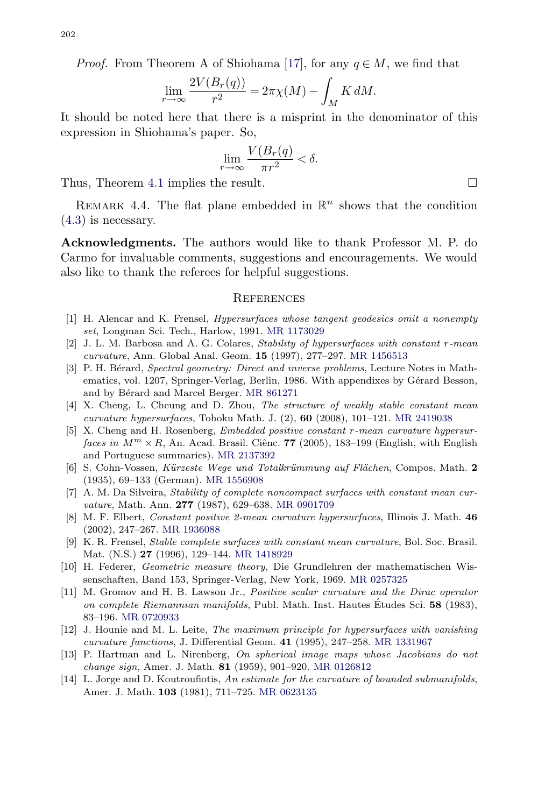<span id="page-17-0"></span>*Proof.* From Theorem A of Shiohama [\[17\]](#page-18-0), for any  $q \in M$ , we find that

$$
\lim_{r \to \infty} \frac{2V(B_r(q))}{r^2} = 2\pi \chi(M) - \int_M K dM.
$$

It should be noted here that there is a misprint in the denominator of this expression in Shiohama's paper. So,

$$
\lim_{r \to \infty} \frac{V(B_r(q))}{\pi r^2} < \delta.
$$

Thus, Theorem [4.1](#page-15-0) implies the result.  $\square$ 

REMARK 4.4. The flat plane embedded in  $\mathbb{R}^n$  shows that the condition [\(4.3\)](#page-16-0) is necessary.

**Acknowledgments.** The authors would like to thank Professor M. P. do Carmo for invaluable comments, suggestions and encouragements. We would also like to thank the referees for helpful suggestions.

#### **REFERENCES**

- [1] H. Alencar and K. Frensel, Hypersurfaces whose tangent geodesics omit a nonempty set, Longman Sci. Tech., Harlow, 1991. [MR 1173029](http://www.ams.org/mathscinet-getitem?mr=1173029)
- [2] J. L. M. Barbosa and A. G. Colares, Stability of hypersurfaces with constant r-mean curvature, Ann. Global Anal. Geom. **15** (1997), 277–297. [MR 1456513](http://www.ams.org/mathscinet-getitem?mr=1456513)
- [3] P. H. Bérard, Spectral geometry: Direct and inverse problems, Lecture Notes in Mathematics, vol. 1207, Springer-Verlag, Berlin, 1986. With appendixes by Gérard Besson, and by Bérard and Marcel Berger. [MR 861271](http://www.ams.org/mathscinet-getitem?mr=861271)
- [4] X. Cheng, L. Cheung and D. Zhou, The structure of weakly stable constant mean curvature hypersurfaces, Tohoku Math. J. (2), **60** (2008), 101–121. [MR 2419038](http://www.ams.org/mathscinet-getitem?mr=2419038)
- [5] X. Cheng and H. Rosenberg, Embedded positive constant r-mean curvature hypersurfaces in  $M^m \times R$ , An. Acad. Brasil. Ciênc. **77** (2005), 183–199 (English, with English and Portuguese summaries). [MR 2137392](http://www.ams.org/mathscinet-getitem?mr=2137392)
- [6] S. Cohn-Vossen, K¨urzeste Wege und Totalkr¨ummung auf Fl¨achen, Compos. Math. **2** (1935), 69–133 (German). [MR 1556908](http://www.ams.org/mathscinet-getitem?mr=1556908)
- [7] A. M. Da Silveira, Stability of complete noncompact surfaces with constant mean curvature, Math. Ann. **277** (1987), 629–638. [MR 0901709](http://www.ams.org/mathscinet-getitem?mr=0901709)
- [8] M. F. Elbert, Constant positive 2-mean curvature hypersurfaces, Illinois J. Math. **46** (2002), 247–267. [MR 1936088](http://www.ams.org/mathscinet-getitem?mr=1936088)
- [9] K. R. Frensel, Stable complete surfaces with constant mean curvature, Bol. Soc. Brasil. Mat. (N.S.) **27** (1996), 129–144. [MR 1418929](http://www.ams.org/mathscinet-getitem?mr=1418929)
- [10] H. Federer, Geometric measure theory, Die Grundlehren der mathematischen Wissenschaften, Band 153, Springer-Verlag, New York, 1969. [MR 0257325](http://www.ams.org/mathscinet-getitem?mr=0257325)
- [11] M. Gromov and H. B. Lawson Jr., Positive scalar curvature and the Dirac operator on complete Riemannian manifolds, Publ. Math. Inst. Hautes Etudes Sci. ´ **58** (1983), 83–196. [MR 0720933](http://www.ams.org/mathscinet-getitem?mr=0720933)
- [12] J. Hounie and M. L. Leite, The maximum principle for hypersurfaces with vanishing curvature functions, J. Differential Geom. **41** (1995), 247–258. [MR 1331967](http://www.ams.org/mathscinet-getitem?mr=1331967)
- [13] P. Hartman and L. Nirenberg, On spherical image maps whose Jacobians do not change sign, Amer. J. Math. **81** (1959), 901–920. [MR 0126812](http://www.ams.org/mathscinet-getitem?mr=0126812)
- [14] L. Jorge and D. Koutroufiotis, An estimate for the curvature of bounded submanifolds, Amer. J. Math. **103** (1981), 711–725. [MR 0623135](http://www.ams.org/mathscinet-getitem?mr=0623135)